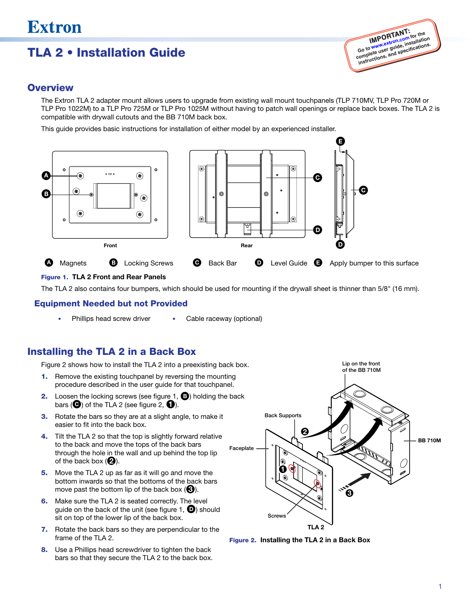# **Extron**

## TLA 2 • Installation Guide



#### **Overview**

The Extron TLA 2 adapter mount allows users to upgrade from existing wall mount touchpanels (TLP 710MV, TLP Pro 720M or TLP Pro 1022M) to a TLP Pro 725M or TLP Pro 1025M without having to patch wall openings or replace back boxes. The TLA 2 is compatible with drywall cutouts and the BB 710M back box.

This guide provides basic instructions for installation of either model by an experienced installer.



#### Figure 1. TLA 2 Front and Rear Panels

The TLA 2 also contains four bumpers, which should be used for mounting if the drywall sheet is thinner than 5/8" (16 mm).

#### Equipment Needed but not Provided

Phillips head screw driver • Cable raceway (optional)

### Installing the TLA 2 in a Back Box

Figure 2 shows how to install the TLA 2 into a preexisting back box.

- 1. Remove the existing touchpanel by reversing the mounting procedure described in the user guide for that touchpanel.
- **2.** Loosen the locking screws (see figure 1,  $\bullet$ ) holding the back bars ( $\bigodot$ ) of the TLA 2 (see figure 2,  $\bigodot$ ).
- **3.** Rotate the bars so they are at a slight angle, to make it easier to fit into the back box.
- 4. Tilt the TLA 2 so that the top is slightly forward relative to the back and move the tops of the back bars through the hole in the wall and up behind the top lip of the back box  $(2)$ .
- 5. Move the TLA 2 up as far as it will go and move the bottom inwards so that the bottoms of the back bars move past the bottom lip of the back box  $\Theta$ ).
- **6.** Make sure the TLA 2 is seated correctly. The level guide on the back of the unit (see figure 1,  $\bullet$ ) should sit on top of the lower lip of the back box.
- 7. Rotate the back bars so they are perpendicular to the frame of the TLA 2.
- 8. Use a Phillips head screwdriver to tighten the back bars so that they secure the TLA 2 to the back box.



Figure 2. Installing the TLA 2 in a Back Box